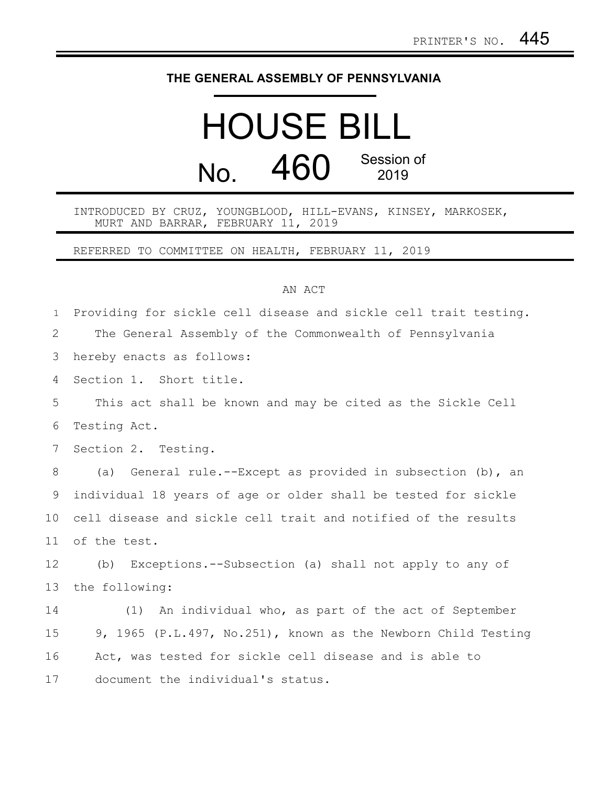## **THE GENERAL ASSEMBLY OF PENNSYLVANIA**

## HOUSE BILL No. 460 Session of 2019

INTRODUCED BY CRUZ, YOUNGBLOOD, HILL-EVANS, KINSEY, MARKOSEK, MURT AND BARRAR, FEBRUARY 11, 2019

REFERRED TO COMMITTEE ON HEALTH, FEBRUARY 11, 2019

## AN ACT

| $\mathbf{1}$ | Providing for sickle cell disease and sickle cell trait testing. |
|--------------|------------------------------------------------------------------|
| 2            | The General Assembly of the Commonwealth of Pennsylvania         |
| 3            | hereby enacts as follows:                                        |
| 4            | Section 1. Short title.                                          |
| 5            | This act shall be known and may be cited as the Sickle Cell      |
| 6            | Testing Act.                                                     |
| 7            | Section 2. Testing.                                              |
| 8            | (a) General rule.--Except as provided in subsection (b), an      |
| 9            | individual 18 years of age or older shall be tested for sickle   |
| 10           | cell disease and sickle cell trait and notified of the results   |
| 11           | of the test.                                                     |
| 12           | (b) Exceptions.--Subsection (a) shall not apply to any of        |
| 13           | the following:                                                   |
| 14           | (1) An individual who, as part of the act of September           |
| 15           | 9, 1965 (P.L.497, No.251), known as the Newborn Child Testing    |
| 16           | Act, was tested for sickle cell disease and is able to           |
| 17           | document the individual's status.                                |